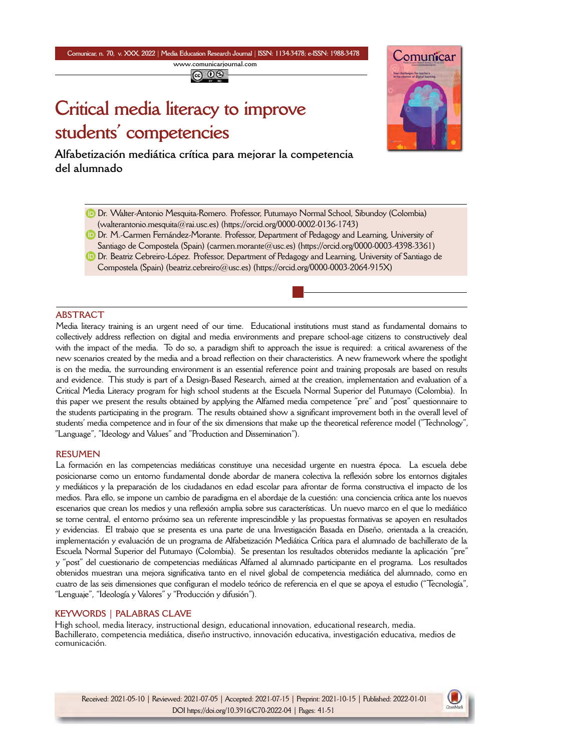**Comunicar, n. 70, v. XXX, 2022** *|* **Media Education Research Journal** *|* **ISSN: 1134-3478; e-ISSN: 1988-3478 <www.comunicarjournal.com>**

@ 0ම

# **Critical media literacy to improve students' competencies**

**Alfabetización mediática crítica para mejorar la competencia del alumnado**



- Dr. Walter-Antonio Mesquita-Romero. Professor, Putumayo Normal School, Sibundoy (Colombia) [\(walterantonio.mesquita@rai.usc.es](mailto:walterantonio.mesquita@rai.usc.es)) (<https://orcid.org/0000-0002-0136-1743>)
- Dr. M.-Carmen Fernández-Morante. Professor, Department of Pedagogy and Learning, University of Santiago de Compostela (Spain) ([carmen.morante@usc.es\)](mailto:carmen.morante@usc.es) (<https://orcid.org/0000-0003-4398-3361>)
- **D** Dr. Beatriz Cebreiro-López. Professor, Department of Pedagogy and Learning, University of Santiago de Compostela (Spain) ([beatriz.cebreiro@usc.es](mailto:beatriz.cebreiro@usc.es)) (<https://orcid.org/0000-0003-2064-915X>)

#### **ABSTRACT**

Media literacy training is an urgent need of our time. Educational institutions must stand as fundamental domains to collectively address reflection on digital and media environments and prepare school-age citizens to constructively deal with the impact of the media. To do so, a paradigm shift to approach the issue is required: a critical awareness of the new scenarios created by the media and a broad reflection on their characteristics. A new framework where the spotlight is on the media, the surrounding environment is an essential reference point and training proposals are based on results and evidence. This study is part of a Design-Based Research, aimed at the creation, implementation and evaluation of a Critical Media Literacy program for high school students at the Escuela Normal Superior del Putumayo (Colombia). In this paper we present the results obtained by applying the Alfamed media competence "pre" and "post" questionnaire to the students participating in the program. The results obtained show a significant improvement both in the overall level of students' media competence and in four of the six dimensions that make up the theoretical reference model ("Technology", "Language", "Ideology and Values" and "Production and Dissemination").

#### **RESUMEN**

La formación en las competencias mediáticas constituye una necesidad urgente en nuestra época. La escuela debe posicionarse como un entorno fundamental donde abordar de manera colectiva la reflexión sobre los entornos digitales y mediáticos y la preparación de los ciudadanos en edad escolar para afrontar de forma constructiva el impacto de los medios. Para ello, se impone un cambio de paradigma en el abordaje de la cuestión: una conciencia crítica ante los nuevos escenarios que crean los medios y una reflexión amplia sobre sus características. Un nuevo marco en el que lo mediático se torne central, el entorno próximo sea un referente imprescindible y las propuestas formativas se apoyen en resultados y evidencias. El trabajo que se presenta es una parte de una Investigación Basada en Diseño, orientada a la creación, implementación y evaluación de un programa de Alfabetización Mediática Crítica para el alumnado de bachillerato de la Escuela Normal Superior del Putumayo (Colombia). Se presentan los resultados obtenidos mediante la aplicación "pre" y "post" del cuestionario de competencias mediáticas Alfamed al alumnado participante en el programa. Los resultados obtenidos muestran una mejora significativa tanto en el nivel global de competencia mediática del alumnado, como en cuatro de las seis dimensiones que configuran el modelo teórico de referencia en el que se apoya el estudio ("Tecnología", "Lenguaje", "Ideología y Valores" y "Producción y difusión").

## **KEYWORDS | PALABRAS CLAVE**

High school, media literacy, instructional design, educational innovation, educational research, media. Bachillerato, competencia mediática, diseño instructivo, innovación educativa, investigación educativa, medios de comunicación.

Received: 2021-05-10 | Reviewed: 2021-07-05 | Accepted: 2021-07-15 | Preprint: 2021-10-15 | Published: 2022-01-01 DOI https://doi.org/10.3916/C70-2022-04 | Pages: 41-51

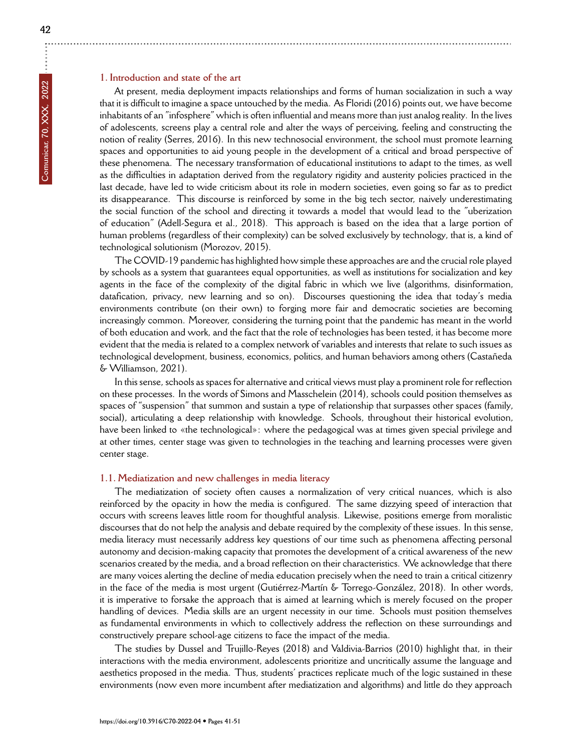## **1. Introduction and state of the art**

At present, media deployment impacts relationships and forms of human socialization in such a way that it is difficult to imagine a space untouched by the media. As Floridi (2016) points out, we have become inhabitants of an "infosphere" which is often influential and means more than just analog reality. In the lives of adolescents, screens play a central role and alter the ways of perceiving, feeling and constructing the notion of reality (Serres, 2016). In this new technosocial environment, the school must promote learning spaces and opportunities to aid young people in the development of a critical and broad perspective of these phenomena. The necessary transformation of educational institutions to adapt to the times, as well as the difficulties in adaptation derived from the regulatory rigidity and austerity policies practiced in the last decade, have led to wide criticism about its role in modern societies, even going so far as to predict its disappearance. This discourse is reinforced by some in the big tech sector, naively underestimating the social function of the school and directing it towards a model that would lead to the "uberization of education" (Adell-Segura et al., 2018). This approach is based on the idea that a large portion of human problems (regardless of their complexity) can be solved exclusively by technology, that is, a kind of technological solutionism (Morozov, 2015).

The COVID-19 pandemic has highlighted how simple these approaches are and the crucial role played by schools as a system that guarantees equal opportunities, as well as institutions for socialization and key agents in the face of the complexity of the digital fabric in which we live (algorithms, disinformation, datafication, privacy, new learning and so on). Discourses questioning the idea that today's media environments contribute (on their own) to forging more fair and democratic societies are becoming increasingly common. Moreover, considering the turning point that the pandemic has meant in the world of both education and work, and the fact that the role of technologies has been tested, it has become more evident that the media is related to a complex network of variables and interests that relate to such issues as technological development, business, economics, politics, and human behaviors among others (Castañeda & Williamson, 2021).

In this sense, schools as spaces for alternative and critical views must play a prominent role for reflection on these processes. In the words of Simons and Masschelein (2014), schools could position themselves as spaces of "suspension" that summon and sustain a type of relationship that surpasses other spaces (family, social), articulating a deep relationship with knowledge. Schools, throughout their historical evolution, have been linked to «the technological»: where the pedagogical was at times given special privilege and at other times, center stage was given to technologies in the teaching and learning processes were given center stage.

#### **1.1. Mediatization and new challenges in media literacy**

The mediatization of society often causes a normalization of very critical nuances, which is also reinforced by the opacity in how the media is configured. The same dizzying speed of interaction that occurs with screens leaves little room for thoughtful analysis. Likewise, positions emerge from moralistic discourses that do not help the analysis and debate required by the complexity of these issues. In this sense, media literacy must necessarily address key questions of our time such as phenomena affecting personal autonomy and decision-making capacity that promotes the development of a critical awareness of the new scenarios created by the media, and a broad reflection on their characteristics. We acknowledge that there are many voices alerting the decline of media education precisely when the need to train a critical citizenry in the face of the media is most urgent (Gutiérrez-Martín & Torrego-González, 2018). In other words, it is imperative to forsake the approach that is aimed at learning which is merely focused on the proper handling of devices. Media skills are an urgent necessity in our time. Schools must position themselves as fundamental environments in which to collectively address the reflection on these surroundings and constructively prepare school-age citizens to face the impact of the media.

The studies by Dussel and Trujillo-Reyes (2018) and Valdivia-Barrios (2010) highlight that, in their interactions with the media environment, adolescents prioritize and uncritically assume the language and aesthetics proposed in the media. Thus, students' practices replicate much of the logic sustained in these environments (now even more incumbent after mediatization and algorithms) and little do they approach

÷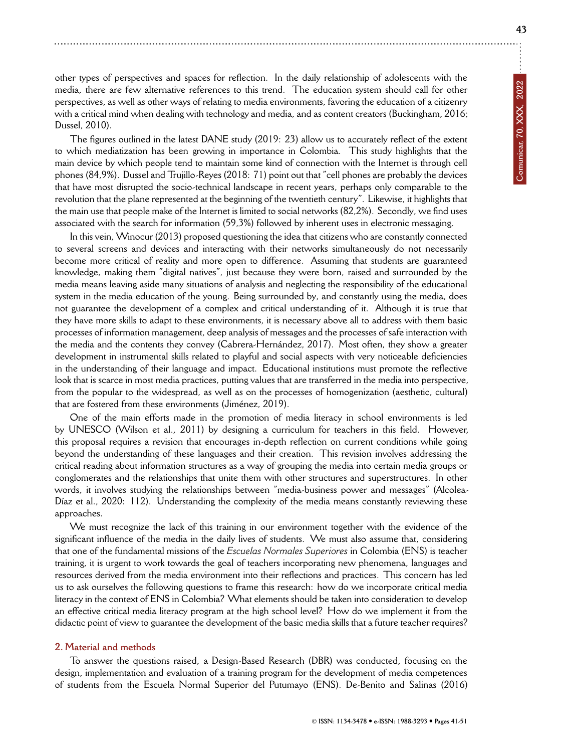other types of perspectives and spaces for reflection. In the daily relationship of adolescents with the media, there are few alternative references to this trend. The education system should call for other perspectives, as well as other ways of relating to media environments, favoring the education of a citizenry with a critical mind when dealing with technology and media, and as content creators (Buckingham, 2016; Dussel, 2010).

The figures outlined in the latest DANE study (2019: 23) allow us to accurately reflect of the extent to which mediatization has been growing in importance in Colombia. This study highlights that the main device by which people tend to maintain some kind of connection with the Internet is through cell phones (84,9%). Dussel and Trujillo-Reyes (2018: 71) point out that "cell phones are probably the devices that have most disrupted the socio-technical landscape in recent years, perhaps only comparable to the revolution that the plane represented at the beginning of the twentieth century". Likewise, it highlights that the main use that people make of the Internet is limited to social networks (82,2%). Secondly, we find uses associated with the search for information (59,3%) followed by inherent uses in electronic messaging.

In this vein, Winocur (2013) proposed questioning the idea that citizens who are constantly connected to several screens and devices and interacting with their networks simultaneously do not necessarily become more critical of reality and more open to difference. Assuming that students are guaranteed knowledge, making them "digital natives", just because they were born, raised and surrounded by the media means leaving aside many situations of analysis and neglecting the responsibility of the educational system in the media education of the young. Being surrounded by, and constantly using the media, does not guarantee the development of a complex and critical understanding of it. Although it is true that they have more skills to adapt to these environments, it is necessary above all to address with them basic processes of information management, deep analysis of messages and the processes of safe interaction with the media and the contents they convey (Cabrera-Hernández, 2017). Most often, they show a greater development in instrumental skills related to playful and social aspects with very noticeable deficiencies in the understanding of their language and impact. Educational institutions must promote the reflective look that is scarce in most media practices, putting values that are transferred in the media into perspective, from the popular to the widespread, as well as on the processes of homogenization (aesthetic, cultural) that are fostered from these environments (Jiménez, 2019).

One of the main efforts made in the promotion of media literacy in school environments is led by UNESCO (Wilson et al., 2011) by designing a curriculum for teachers in this field. However, this proposal requires a revision that encourages in-depth reflection on current conditions while going beyond the understanding of these languages and their creation. This revision involves addressing the critical reading about information structures as a way of grouping the media into certain media groups or conglomerates and the relationships that unite them with other structures and superstructures. In other words, it involves studying the relationships between "media-business power and messages" (Alcolea-Díaz et al., 2020: 112). Understanding the complexity of the media means constantly reviewing these approaches.

We must recognize the lack of this training in our environment together with the evidence of the significant influence of the media in the daily lives of students. We must also assume that, considering that one of the fundamental missions of the *Escuelas Normales Superiores* in Colombia (ENS) is teacher training, it is urgent to work towards the goal of teachers incorporating new phenomena, languages and resources derived from the media environment into their reflections and practices. This concern has led us to ask ourselves the following questions to frame this research: how do we incorporate critical media literacy in the context of ENS in Colombia? What elements should be taken into consideration to develop an effective critical media literacy program at the high school level? How do we implement it from the didactic point of view to guarantee the development of the basic media skills that a future teacher requires?

#### **2. Material and methods**

To answer the questions raised, a Design-Based Research (DBR) was conducted, focusing on the design, implementation and evaluation of a training program for the development of media competences of students from the Escuela Normal Superior del Putumayo (ENS). De-Benito and Salinas (2016)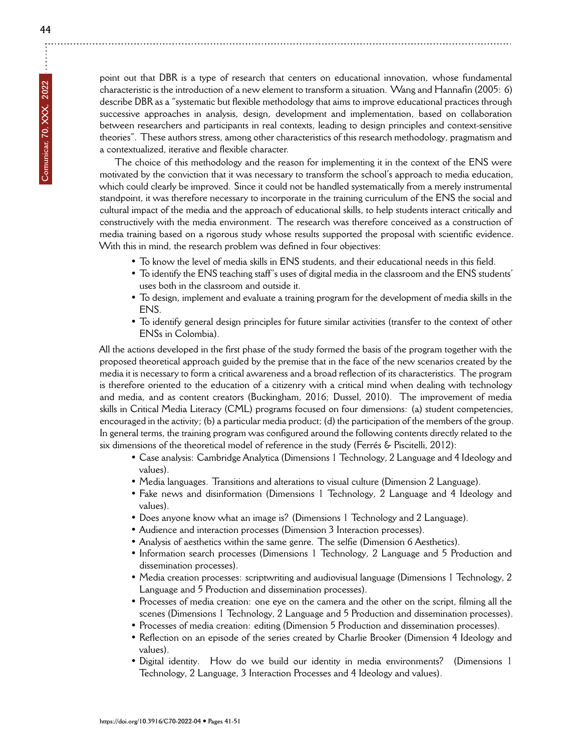point out that DBR is a type of research that centers on educational innovation, whose fundamental characteristic is the introduction of a new element to transform a situation. Wang and Hannafin (2005: 6) describe DBR as a "systematic but flexible methodology that aims to improve educational practices through successive approaches in analysis, design, development and implementation, based on collaboration between researchers and participants in real contexts, leading to design principles and context-sensitive theories". These authors stress, among other characteristics of this research methodology, pragmatism and a contextualized, iterative and flexible character.

The choice of this methodology and the reason for implementing it in the context of the ENS were motivated by the conviction that it was necessary to transform the school's approach to media education, which could clearly be improved. Since it could not be handled systematically from a merely instrumental standpoint, it was therefore necessary to incorporate in the training curriculum of the ENS the social and cultural impact of the media and the approach of educational skills, to help students interact critically and constructively with the media environment. The research was therefore conceived as a construction of media training based on a rigorous study whose results supported the proposal with scientific evidence. With this in mind, the research problem was defined in four objectives:

- To know the level of media skills in ENS students, and their educational needs in this field.
- To identify the ENS teaching staff's uses of digital media in the classroom and the ENS students' uses both in the classroom and outside it.
- To design, implement and evaluate a training program for the development of media skills in the ENS.
- To identify general design principles for future similar activities (transfer to the context of other ENSs in Colombia).

All the actions developed in the first phase of the study formed the basis of the program together with the proposed theoretical approach guided by the premise that in the face of the new scenarios created by the media it is necessary to form a critical awareness and a broad reflection of its characteristics. The program is therefore oriented to the education of a citizenry with a critical mind when dealing with technology and media, and as content creators (Buckingham, 2016; Dussel, 2010). The improvement of media skills in Critical Media Literacy (CML) programs focused on four dimensions: (a) student competencies, encouraged in the activity; (b) a particular media product; (d) the participation of the members of the group. In general terms, the training program was configured around the following contents directly related to the six dimensions of the theoretical model of reference in the study (Ferrés & Piscitelli, 2012):

- Case analysis: Cambridge Analytica (Dimensions 1 Technology, 2 Language and 4 Ideology and values).
- Media languages. Transitions and alterations to visual culture (Dimension 2 Language).
- Fake news and disinformation (Dimensions 1 Technology, 2 Language and 4 Ideology and values).
- Does anyone know what an image is? (Dimensions 1 Technology and 2 Language).
- Audience and interaction processes (Dimension 3 Interaction processes).
- Analysis of aesthetics within the same genre. The selfie (Dimension 6 Aesthetics).
- Information search processes (Dimensions 1 Technology, 2 Language and 5 Production and dissemination processes).
- Media creation processes: scriptwriting and audiovisual language (Dimensions 1 Technology, 2 Language and 5 Production and dissemination processes).
- Processes of media creation: one eye on the camera and the other on the script, filming all the scenes (Dimensions 1 Technology, 2 Language and 5 Production and dissemination processes).
- Processes of media creation: editing (Dimension 5 Production and dissemination processes).
- Reflection on an episode of the series created by Charlie Brooker (Dimension 4 Ideology and values).
- Digital identity. How do we build our identity in media environments? (Dimensions 1 Technology, 2 Language, 3 Interaction Processes and 4 Ideology and values).

÷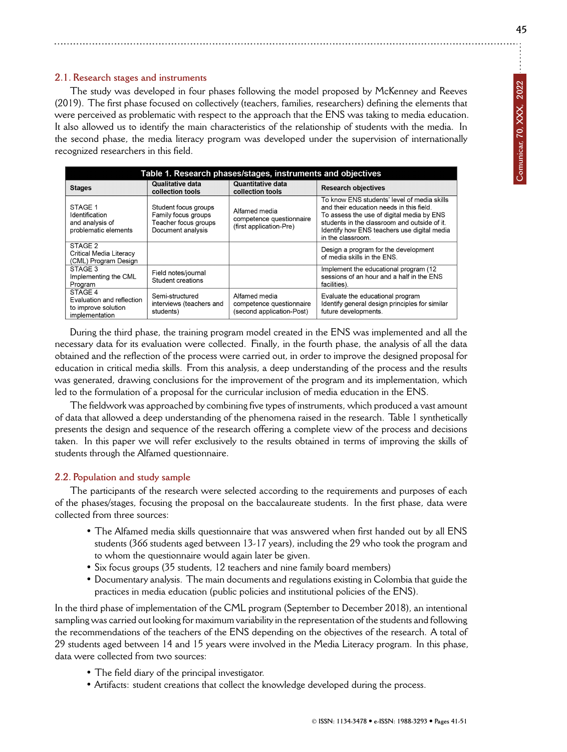# **2.1. Research stages and instruments**

The study was developed in four phases following the model proposed by McKenney and Reeves (2019). The first phase focused on collectively (teachers, families, researchers) defining the elements that were perceived as problematic with respect to the approach that the ENS was taking to media education. It also allowed us to identify the main characteristics of the relationship of students with the media. In the second phase, the media literacy program was developed under the supervision of internationally recognized researchers in this field.

| Table 1. Research phases/stages, instruments and objectives                   |                                                                                          |                                                                        |                                                                                                                                                                                                                                                         |  |  |
|-------------------------------------------------------------------------------|------------------------------------------------------------------------------------------|------------------------------------------------------------------------|---------------------------------------------------------------------------------------------------------------------------------------------------------------------------------------------------------------------------------------------------------|--|--|
| <b>Stages</b>                                                                 | Qualitative data<br>collection tools                                                     | Quantitative data<br>collection tools                                  | <b>Research objectives</b>                                                                                                                                                                                                                              |  |  |
| STAGE 1<br>Identification<br>and analysis of<br>problematic elements          | Student focus groups<br>Family focus groups<br>Teacher focus groups<br>Document analysis | Alfamed media<br>competence questionnaire<br>(first application-Pre)   | To know ENS students' level of media skills<br>and their education needs in this field.<br>To assess the use of digital media by ENS<br>students in the classroom and outside of it<br>Identify how ENS teachers use digital media<br>in the classroom. |  |  |
| STAGE 2<br><b>Critical Media Literacy</b><br>(CML) Program Design             |                                                                                          |                                                                        | Design a program for the development<br>of media skills in the ENS.                                                                                                                                                                                     |  |  |
| STAGE 3<br>Implementing the CML<br>Program                                    | Field notes/journal<br>Student creations                                                 |                                                                        | Implement the educational program (12)<br>sessions of an hour and a half in the ENS<br>facilities).                                                                                                                                                     |  |  |
| STAGE 4<br>Evaluation and reflection<br>to improve solution<br>implementation | Semi-structured<br>interviews (teachers and<br>students)                                 | Alfamed media<br>competence questionnaire<br>(second application-Post) | Evaluate the educational program<br>Identify general design principles for similar<br>future developments.                                                                                                                                              |  |  |

During the third phase, the training program model created in the ENS was implemented and all the necessary data for its evaluation were collected. Finally, in the fourth phase, the analysis of all the data obtained and the reflection of the process were carried out, in order to improve the designed proposal for education in critical media skills. From this analysis, a deep understanding of the process and the results was generated, drawing conclusions for the improvement of the program and its implementation, which led to the formulation of a proposal for the curricular inclusion of media education in the ENS.

The fieldwork was approached by combining five types of instruments, which produced a vast amount of data that allowed a deep understanding of the phenomena raised in the research. Table 1 synthetically presents the design and sequence of the research offering a complete view of the process and decisions taken. In this paper we will refer exclusively to the results obtained in terms of improving the skills of students through the Alfamed questionnaire.

## **2.2. Population and study sample**

The participants of the research were selected according to the requirements and purposes of each of the phases/stages, focusing the proposal on the baccalaureate students. In the first phase, data were collected from three sources:

- The Alfamed media skills questionnaire that was answered when first handed out by all ENS students (366 students aged between 13-17 years), including the 29 who took the program and to whom the questionnaire would again later be given.
- Six focus groups (35 students, 12 teachers and nine family board members)
- Documentary analysis. The main documents and regulations existing in Colombia that guide the practices in media education (public policies and institutional policies of the ENS).

In the third phase of implementation of the CML program (September to December 2018), an intentional sampling was carried out looking for maximum variability in the representation of the students and following the recommendations of the teachers of the ENS depending on the objectives of the research. A total of 29 students aged between 14 and 15 years were involved in the Media Literacy program. In this phase, data were collected from two sources:

- The field diary of the principal investigator.
- Artifacts: student creations that collect the knowledge developed during the process.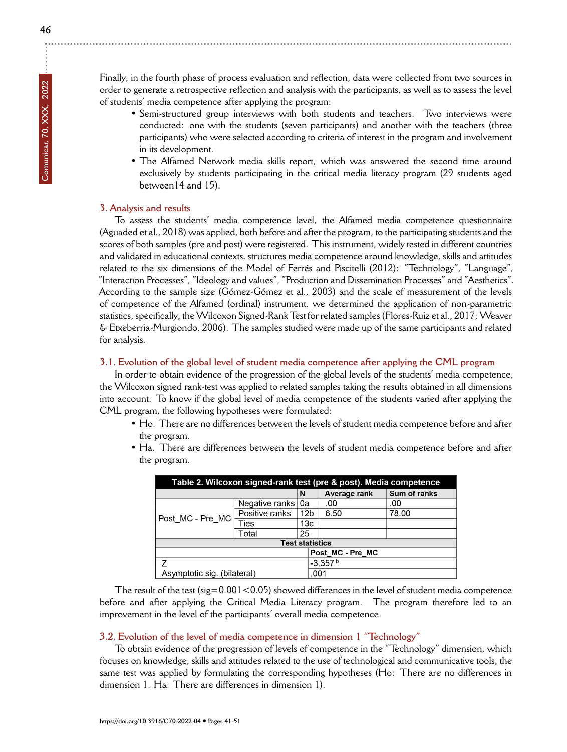$\vdots$ 

Finally, in the fourth phase of process evaluation and reflection, data were collected from two sources in order to generate a retrospective reflection and analysis with the participants, as well as to assess the level of students' media competence after applying the program:

- Semi-structured group interviews with both students and teachers. Two interviews were conducted: one with the students (seven participants) and another with the teachers (three participants) who were selected according to criteria of interest in the program and involvement in its development.
- The Alfamed Network media skills report, which was answered the second time around exclusively by students participating in the critical media literacy program (29 students aged between14 and 15).

#### **3. Analysis and results**

To assess the students' media competence level, the Alfamed media competence questionnaire (Aguaded et al., 2018) was applied, both before and after the program, to the participating students and the scores of both samples (pre and post) were registered. This instrument, widely tested in different countries and validated in educational contexts, structures media competence around knowledge, skills and attitudes related to the six dimensions of the Model of Ferrés and Piscitelli (2012): "Technology", "Language", "Interaction Processes", "Ideology and values", "Production and Dissemination Processes" and "Aesthetics". According to the sample size (Gómez-Gómez et al., 2003) and the scale of measurement of the levels of competence of the Alfamed (ordinal) instrument, we determined the application of non-parametric statistics, specifically, the Wilcoxon Signed-Rank Test for related samples (Flores-Ruiz et al., 2017; Weaver & Etxeberria-Murgiondo, 2006). The samples studied were made up of the same participants and related for analysis.

#### **3.1. Evolution of the global level of student media competence after applying the CML program**

In order to obtain evidence of the progression of the global levels of the students' media competence, the Wilcoxon signed rank-test was applied to related samples taking the results obtained in all dimensions into account. To know if the global level of media competence of the students varied after applying the CML program, the following hypotheses were formulated:

- Ho. There are no differences between the levels of student media competence before and after the program.
- Ha. There are differences between the levels of student media competence before and after the program.

| Table 2. Wilcoxon signed-rank test (pre & post). Media competence |                     |                 |                  |              |  |  |
|-------------------------------------------------------------------|---------------------|-----------------|------------------|--------------|--|--|
|                                                                   |                     | N               | Average rank     | Sum of ranks |  |  |
| Post MC - Pre MC                                                  | Negative ranks   0a |                 | .00              | .00          |  |  |
|                                                                   | Positive ranks      | 12 <sub>b</sub> | 6.50             | 78.00        |  |  |
|                                                                   | Ties                | 13c             |                  |              |  |  |
|                                                                   | Total               | 25              |                  |              |  |  |
| <b>Test statistics</b>                                            |                     |                 |                  |              |  |  |
|                                                                   |                     |                 | Post MC - Pre MC |              |  |  |
|                                                                   |                     |                 | $-3.357b$        |              |  |  |
| Asymptotic sig. (bilateral)                                       |                     |                 | .001             |              |  |  |

The result of the test ( $sig=0.001<0.05$ ) showed differences in the level of student media competence before and after applying the Critical Media Literacy program. The program therefore led to an improvement in the level of the participants' overall media competence.

#### **3.2. Evolution of the level of media competence in dimension 1 "Technology"**

To obtain evidence of the progression of levels of competence in the "Technology" dimension, which focuses on knowledge, skills and attitudes related to the use of technological and communicative tools, the same test was applied by formulating the corresponding hypotheses (Ho: There are no differences in dimension 1. Ha: There are differences in dimension 1).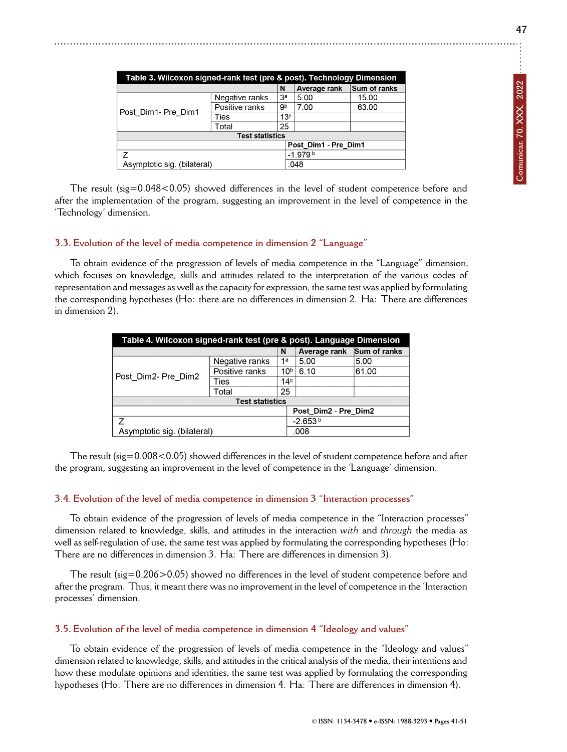| Table 3. Wilcoxon signed-rank test (pre & post). Technology Dimension |                |                 |                      |              |  |
|-----------------------------------------------------------------------|----------------|-----------------|----------------------|--------------|--|
|                                                                       |                | N               | Average rank         | Sum of ranks |  |
| Post Dim1- Pre Dim1                                                   | Negative ranks | Зa              | 5.00                 | 15.00        |  |
|                                                                       | Positive ranks | 9b              | 7.00                 | 63.00        |  |
|                                                                       | Ties           | 13 <sup>c</sup> |                      |              |  |
|                                                                       | Total          | 25              |                      |              |  |
| <b>Test statistics</b>                                                |                |                 |                      |              |  |
|                                                                       |                |                 | Post Dim1 - Pre Dim1 |              |  |
| 7                                                                     |                |                 | $-1.979b$            |              |  |
| Asymptotic sig. (bilateral)                                           |                |                 | .048                 |              |  |

The result (sig=0.048<0.05) showed differences in the level of student competence before and after the implementation of the program, suggesting an improvement in the level of competence in the 'Technology' dimension.

#### **3.3. Evolution of the level of media competence in dimension 2 "Language"**

To obtain evidence of the progression of levels of media competence in the "Language" dimension, which focuses on knowledge, skills and attitudes related to the interpretation of the various codes of representation and messages as well as the capacity for expression, the same test was applied by formulating the corresponding hypotheses (Ho: there are no differences in dimension 2. Ha: There are differences in dimension 2).

| Table 4. Wilcoxon signed-rank test (pre & post). Language Dimension |                |                 |                      |              |
|---------------------------------------------------------------------|----------------|-----------------|----------------------|--------------|
|                                                                     |                | N               | Average rank         | Sum of ranks |
| Post Dim2- Pre Dim2                                                 | Negative ranks | 1a              | 5.00                 | 5.00         |
|                                                                     | Positive ranks | 10 <sup>b</sup> | 6.10                 | 61.00        |
|                                                                     | Ties           | 14 <sup>c</sup> |                      |              |
|                                                                     | Total          | 25              |                      |              |
| <b>Test statistics</b>                                              |                |                 |                      |              |
|                                                                     |                |                 | Post Dim2 - Pre Dim2 |              |
| $\overline{z}$                                                      |                |                 | $-2.653b$            |              |
| Asymptotic sig. (bilateral)                                         |                |                 | .008                 |              |

The result (sig=0.008<0.05) showed differences in the level of student competence before and after the program, suggesting an improvement in the level of competence in the 'Language' dimension.

#### **3.4. Evolution of the level of media competence in dimension 3 "Interaction processes"**

To obtain evidence of the progression of levels of media competence in the "Interaction processes" dimension related to knowledge, skills, and attitudes in the interaction *with* and *through* the media as well as self-regulation of use, the same test was applied by formulating the corresponding hypotheses (Ho: There are no differences in dimension 3. Ha: There are differences in dimension 3).

The result (sig=0.206>0.05) showed no differences in the level of student competence before and after the program. Thus, it meant there was no improvement in the level of competence in the 'Interaction processes' dimension.

## **3.5. Evolution of the level of media competence in dimension 4 "Ideology and values"**

To obtain evidence of the progression of levels of media competence in the "Ideology and values" dimension related to knowledge, skills, and attitudes in the critical analysis of the media, their intentions and how these modulate opinions and identities, the same test was applied by formulating the corresponding hypotheses (Ho: There are no differences in dimension 4. Ha: There are differences in dimension 4).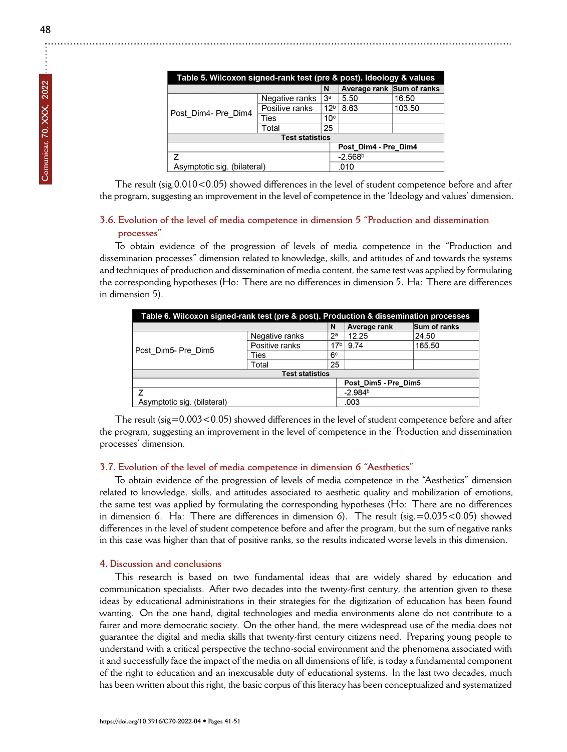| Table 5. Wilcoxon signed-rank test (pre & post). Ideology & values |                |                 |                           |        |  |
|--------------------------------------------------------------------|----------------|-----------------|---------------------------|--------|--|
|                                                                    |                | N               | Average rank Sum of ranks |        |  |
| Post_Dim4- Pre_Dim4                                                | Negative ranks | 3 <sup>a</sup>  | 5.50                      | 16.50  |  |
|                                                                    | Positive ranks | 12 <sup>b</sup> | 8.63                      | 103.50 |  |
|                                                                    | Ties           | 10 <sup>c</sup> |                           |        |  |
|                                                                    | Total          | 25              |                           |        |  |
| <b>Test statistics</b>                                             |                |                 |                           |        |  |
|                                                                    |                |                 | Post Dim4 - Pre Dim4      |        |  |
| 7                                                                  |                |                 | $-2.568b$                 |        |  |
| Asymptotic sig. (bilateral)                                        |                |                 | .010                      |        |  |

The result (sig.0.010<0.05) showed differences in the level of student competence before and after the program, suggesting an improvement in the level of competence in the 'Ideology and values' dimension.

# **3.6. Evolution of the level of media competence in dimension 5 "Production and dissemination processes"**

To obtain evidence of the progression of levels of media competence in the "Production and dissemination processes" dimension related to knowledge, skills, and attitudes of and towards the systems and techniques of production and dissemination of media content, the same test was applied by formulating the corresponding hypotheses (Ho: There are no differences in dimension 5. Ha: There are differences in dimension 5).

| Table 6. Wilcoxon signed-rank test (pre & post). Production & dissemination processes |                |                 |              |              |
|---------------------------------------------------------------------------------------|----------------|-----------------|--------------|--------------|
|                                                                                       |                | N               | Average rank | Sum of ranks |
| Post Dim5- Pre Dim5                                                                   | Negative ranks | $2^a$           | 12.25        | 24.50        |
|                                                                                       | Positive ranks | 17 <sup>b</sup> | 9.74         | 165.50       |
|                                                                                       | Ties           | 6 <sup>c</sup>  |              |              |
|                                                                                       | Total          | 25              |              |              |
| <b>Test statistics</b>                                                                |                |                 |              |              |
| Post Dim5 - Pre Dim5                                                                  |                |                 |              |              |
| 7                                                                                     |                |                 | $-2.984b$    |              |
| Asymptotic sig. (bilateral)                                                           |                |                 | .003         |              |

The result (sig=0.003<0.05) showed differences in the level of student competence before and after the program, suggesting an improvement in the level of competence in the 'Production and dissemination processes' dimension.

## **3.7. Evolution of the level of media competence in dimension 6 "Aesthetics"**

To obtain evidence of the progression of levels of media competence in the "Aesthetics" dimension related to knowledge, skills, and attitudes associated to aesthetic quality and mobilization of emotions, the same test was applied by formulating the corresponding hypotheses (Ho: There are no differences in dimension 6. Ha: There are differences in dimension 6). The result (sig.=0.035<0.05) showed differences in the level of student competence before and after the program, but the sum of negative ranks in this case was higher than that of positive ranks, so the results indicated worse levels in this dimension.

#### **4. Discussion and conclusions**

This research is based on two fundamental ideas that are widely shared by education and communication specialists. After two decades into the twenty-first century, the attention given to these ideas by educational administrations in their strategies for the digitization of education has been found wanting. On the one hand, digital technologies and media environments alone do not contribute to a fairer and more democratic society. On the other hand, the mere widespread use of the media does not guarantee the digital and media skills that twenty-first century citizens need. Preparing young people to understand with a critical perspective the techno-social environment and the phenomena associated with it and successfully face the impact of the media on all dimensions of life, is today a fundamental component of the right to education and an inexcusable duty of educational systems. In the last two decades, much has been written about this right, the basic corpus of this literacy has been conceptualized and systematized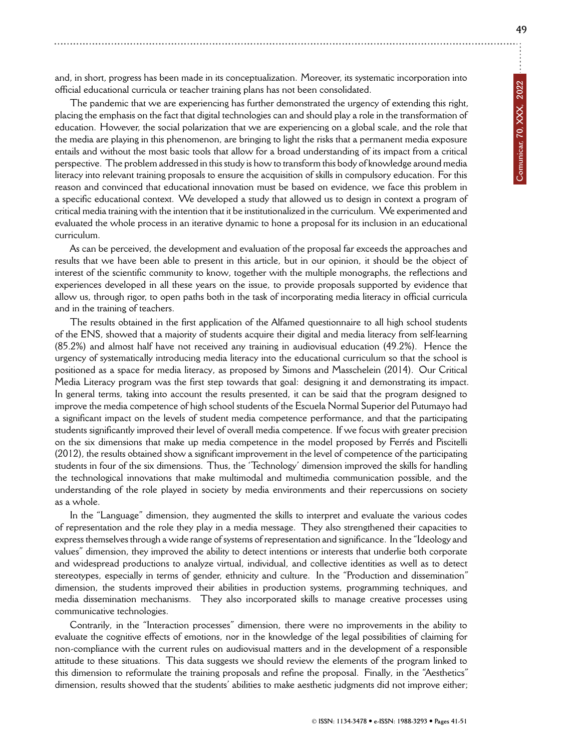and, in short, progress has been made in its conceptualization. Moreover, its systematic incorporation into official educational curricula or teacher training plans has not been consolidated.

The pandemic that we are experiencing has further demonstrated the urgency of extending this right, placing the emphasis on the fact that digital technologies can and should play a role in the transformation of education. However, the social polarization that we are experiencing on a global scale, and the role that the media are playing in this phenomenon, are bringing to light the risks that a permanent media exposure entails and without the most basic tools that allow for a broad understanding of its impact from a critical perspective. The problem addressed in this study is how to transform this body of knowledge around media literacy into relevant training proposals to ensure the acquisition of skills in compulsory education. For this reason and convinced that educational innovation must be based on evidence, we face this problem in a specific educational context. We developed a study that allowed us to design in context a program of critical media training with the intention that it be institutionalized in the curriculum. We experimented and evaluated the whole process in an iterative dynamic to hone a proposal for its inclusion in an educational curriculum.

As can be perceived, the development and evaluation of the proposal far exceeds the approaches and results that we have been able to present in this article, but in our opinion, it should be the object of interest of the scientific community to know, together with the multiple monographs, the reflections and experiences developed in all these years on the issue, to provide proposals supported by evidence that allow us, through rigor, to open paths both in the task of incorporating media literacy in official curricula and in the training of teachers.

The results obtained in the first application of the Alfamed questionnaire to all high school students of the ENS, showed that a majority of students acquire their digital and media literacy from self-learning (85.2%) and almost half have not received any training in audiovisual education (49.2%). Hence the urgency of systematically introducing media literacy into the educational curriculum so that the school is positioned as a space for media literacy, as proposed by Simons and Masschelein (2014). Our Critical Media Literacy program was the first step towards that goal: designing it and demonstrating its impact. In general terms, taking into account the results presented, it can be said that the program designed to improve the media competence of high school students of the Escuela Normal Superior del Putumayo had a significant impact on the levels of student media competence performance, and that the participating students significantly improved their level of overall media competence. If we focus with greater precision on the six dimensions that make up media competence in the model proposed by Ferrés and Piscitelli (2012), the results obtained show a significant improvement in the level of competence of the participating students in four of the six dimensions. Thus, the 'Technology' dimension improved the skills for handling the technological innovations that make multimodal and multimedia communication possible, and the understanding of the role played in society by media environments and their repercussions on society as a whole.

In the "Language" dimension, they augmented the skills to interpret and evaluate the various codes of representation and the role they play in a media message. They also strengthened their capacities to express themselves through a wide range of systems of representation and significance. In the "Ideology and values" dimension, they improved the ability to detect intentions or interests that underlie both corporate and widespread productions to analyze virtual, individual, and collective identities as well as to detect stereotypes, especially in terms of gender, ethnicity and culture. In the "Production and dissemination" dimension, the students improved their abilities in production systems, programming techniques, and media dissemination mechanisms. They also incorporated skills to manage creative processes using communicative technologies.

Contrarily, in the "Interaction processes" dimension, there were no improvements in the ability to evaluate the cognitive effects of emotions, nor in the knowledge of the legal possibilities of claiming for non-compliance with the current rules on audiovisual matters and in the development of a responsible attitude to these situations. This data suggests we should review the elements of the program linked to this dimension to reformulate the training proposals and refine the proposal. Finally, in the "Aesthetics" dimension, results showed that the students' abilities to make aesthetic judgments did not improve either;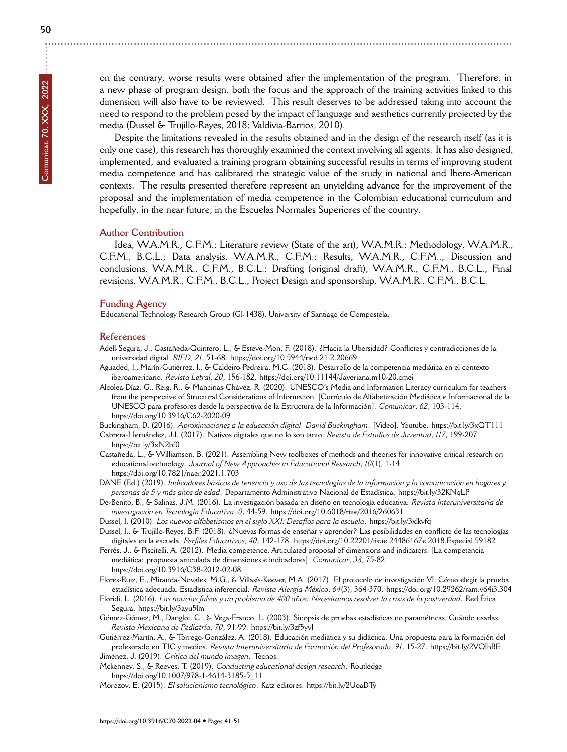**50**

on the contrary, worse results were obtained after the implementation of the program. Therefore, in a new phase of program design, both the focus and the approach of the training activities linked to this dimension will also have to be reviewed. This result deserves to be addressed taking into account the need to respond to the problem posed by the impact of language and aesthetics currently projected by the media (Dussel & Trujillo-Reyes, 2018; Valdivia-Barrios, 2010).

Despite the limitations revealed in the results obtained and in the design of the research itself (as it is only one case), this research has thoroughly examined the context involving all agents. It has also designed, implemented, and evaluated a training program obtaining successful results in terms of improving student media competence and has calibrated the strategic value of the study in national and Ibero-American contexts. The results presented therefore represent an unyielding advance for the improvement of the proposal and the implementation of media competence in the Colombian educational curriculum and hopefully, in the near future, in the Escuelas Normales Superiores of the country.

#### **Author Contribution**

Idea, W.A.M.R., C.F.M.; Literature review (State of the art), W.A.M.R.; Methodology, W.A.M.R., C.F.M., B.C.L.; Data analysis, W.A.M.R., C.F.M.; Results, W.A.M.R., C.F.M..; Discussion and conclusions, W.A.M.R., C.F.M., B.C.L.; Drafting (original draft), W.A.M.R., C.F.M., B.C.L.; Final revisions, W.A.M.R., C.F.M., B.C.L.; Project Design and sponsorship, W.A.M.R., C.F.M., B.C.L.

#### **Funding Agency**

Educational Technology Research Group (GI-1438), University of Santiago de Compostela.

#### **References**

- Adell-Segura, J., Castañeda-Quintero, L., & Esteve-Mon, F. (2018). ¿Hacia la Ubersidad? Conflictos y contradicciones de la universidad digital. *RIED*, *21*, 51-68.<https://doi.org/10.5944/ried.21.2.20669>
- Aguaded, I., Marín-Gutiérrez, I., & Caldeiro-Pedreira, M.C. (2018). Desarrollo de la competencia mediática en el contexto iberoamericano. *Revista Letral*, *20*, 156-182.<https://doi.org/10.11144/Javeriana.m10-20.cmei>
- Alcolea-Díaz, G., Reig, R., & Mancinas-Chávez, R. (2020). UNESCO's Media and Information Literacy curriculum for teachers from the perspective of Structural Considerations of Information. [Currículo de Alfabetización Mediática e Informacional de la UNESCO para profesores desde la perspectiva de la Estructura de la Información]. *Comunicar*, *62*, 103-114. <https://doi.org/10.3916/C62-2020-09>

Buckingham, D. (2016). *Aproximaciones a la educación digital- David Buckingham*. [Video]. Youtube.<https://bit.ly/3xQT111>

- Cabrera-Hernández, J.I. (2017). Nativos digitales que no lo son tanto. *Revista de Estudios de Juventud*, *117*, 199-207. <https://bit.ly/3xN2bf0>
- Castañeda, L., & Williamson, B. (2021). Assembling New toolboxes of methods and theories for innovative critical research on educational technology. *Journal of New Approaches in Educational Research*, *10*(1), 1-14. <https://doi.org/10.7821/naer.2021.1.703>
- DANE (Ed.) (2019). *Indicadores básicos de tenencia y uso de las tecnologías de la información y la comunicación en hogares y personas de 5 y más años de edad*. Departamento Administrativo Nacional de Estadística.<https://bit.ly/32KNqLP>
- De-Benito, B., & Salinas, J.M. (2016). La investigación basada en diseño en tecnología educativa. *Revista Interuniversitaria de investigación en Tecnología Educativa*, *0*, 44-59.<https://doi.org/10.6018/riite/2016/260631>
- Dussel, I. (2010). *Los nuevos alfabetismos en el siglo XXI: Desafíos para la escuela*.<https://bit.ly/3xlkvfq>
- Dussel, I., & Trujillo-Reyes, B.F. (2018). ¿Nuevas formas de enseñar y aprender? Las posibilidades en conflicto de las tecnologías digitales en la escuela. *Perfiles Educativos*, *40*, 142-178.<https://doi.org/10.22201/iisue.24486167e.2018.Especial.59182>
- Ferrés, J., & Piscitelli, A. (2012). Media competence. Articulated proposal of dimensions and indicators. [La competencia mediática: propuesta articulada de dimensiones e indicadores]. *Comunicar*, *38*, 75-82. <https://doi.org/10.3916/C38-2012-02-08>
- Flores-Ruiz, E., Miranda-Novales, M.G., & Villasís-Keever, M.A. (2017). El protocolo de investigación VI: Cómo elegir la prueba estadística adecuada. Estadística inferencial. *Revista Alergia México*, *64*(3), 364-370.<https://doi.org/10.29262/ram.v64i3.304>
- Floridi, L. (2016). *Las noticias falsas y un problema de 400 años: Necesitamos resolver la crisis de la postverdad*. Red Ética Segura.<https://bit.ly/3ayu5lm>
- Gómez-Gómez, M., Danglot, C., & Vega-Franco, L. (2003). Sinopsis de pruebas estadísticas no paramétricas. Cuándo usarlas. *Revista Mexicana de Pediatría*, *70*, 91-99.<https://bit.ly/3zf5yvI>
- Gutiérrez-Martín, A., & Torrego-González, A. (2018). Educación mediática y su didáctica. Una propuesta para la formación del profesorado en TIC y medios. *Revista Interuniversitaria de Formación del Profesorado*, *91*, 15-27.<https://bit.ly/2VQIhBE> Jiménez, J. (2019). *Crítica del mundo imagen*. Tecnos.
- 
- Mckenney, S., & Reeves, T. (2019). *Conducting educational design research*. Routledge. [https://doi.org/10.1007/978-1-4614-3185-5\\_11](https://doi.org/10.1007/978-1-4614-3185-5_11)
- Morozov, E. (2015). *El solucionismo tecnológico*. Katz editores.<https://bit.ly/2UoaDTy>